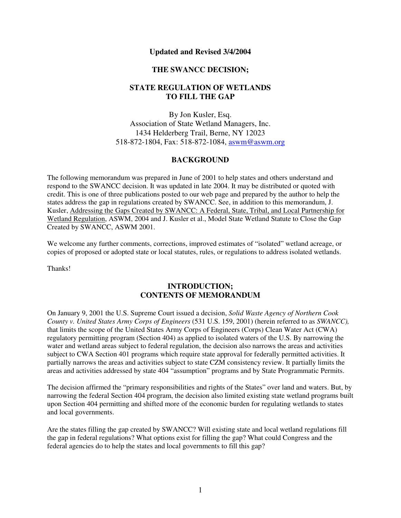### **Updated and Revised 3/4/2004**

### **THE SWANCC DECISION;**

# **STATE REGULATION OF WETLANDS TO FILL THE GAP**

By Jon Kusler, Esq. Association of State Wetland Managers, Inc. 1434 Helderberg Trail, Berne, NY 12023 518-872-1804, Fax: 518-872-1084[, aswm@aswm.org](mailto:aswm@aswm.org) 

### **BACKGROUND**

The following memorandum was prepared in June of 2001 to help states and others understand and respond to the SWANCC decision. It was updated in late 2004. It may be distributed or quoted with credit. This is one of three publications posted to our web page and prepared by the author to help the states address the gap in regulations created by SWANCC. See, in addition to this memorandum, J. Kusler, Addressing the Gaps Created by SWANCC: A Federal, State, Tribal, and Local Partnership for Wetland Regulation, ASWM, 2004 and J. Kusler et al., Model State Wetland Statute to Close the Gap Created by SWANCC, ASWM 2001.

We welcome any further comments, corrections, improved estimates of "isolated" wetland acreage, or copies of proposed or adopted state or local statutes, rules, or regulations to address isolated wetlands.

Thanks!

### **INTRODUCTION; CONTENTS OF MEMORANDUM**

On January 9, 2001 the U.S. Supreme Court issued a decision, *Solid Waste Agency of Northern Cook County v. United States Army Corps of Engineers* (531 U.S. 159, 2001) (herein referred to as *SWANCC),*  that limits the scope of the United States Army Corps of Engineers (Corps) Clean Water Act (CWA) regulatory permitting program (Section 404) as applied to isolated waters of the U.S. By narrowing the water and wetland areas subject to federal regulation, the decision also narrows the areas and activities subject to CWA Section 401 programs which require state approval for federally permitted activities. It partially narrows the areas and activities subject to state CZM consistency review. It partially limits the areas and activities addressed by state 404 "assumption" programs and by State Programmatic Permits.

The decision affirmed the "primary responsibilities and rights of the States" over land and waters. But, by narrowing the federal Section 404 program, the decision also limited existing state wetland programs built upon Section 404 permitting and shifted more of the economic burden for regulating wetlands to states and local governments.

Are the states filling the gap created by SWANCC? Will existing state and local wetland regulations fill the gap in federal regulations? What options exist for filling the gap? What could Congress and the federal agencies do to help the states and local governments to fill this gap?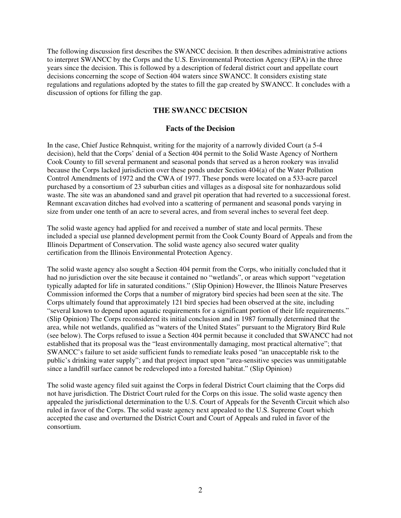The following discussion first describes the SWANCC decision. It then describes administrative actions to interpret SWANCC by the Corps and the U.S. Environmental Protection Agency (EPA) in the three years since the decision. This is followed by a description of federal district court and appellate court decisions concerning the scope of Section 404 waters since SWANCC. It considers existing state regulations and regulations adopted by the states to fill the gap created by SWANCC. It concludes with a discussion of options for filling the gap.

## **THE SWANCC DECISION**

#### **Facts of the Decision**

In the case, Chief Justice Rehnquist, writing for the majority of a narrowly divided Court (a 5-4 decision), held that the Corps' denial of a Section 404 permit to the Solid Waste Agency of Northern Cook County to fill several permanent and seasonal ponds that served as a heron rookery was invalid because the Corps lacked jurisdiction over these ponds under Section 404(a) of the Water Pollution Control Amendments of 1972 and the CWA of 1977. These ponds were located on a 533-acre parcel purchased by a consortium of 23 suburban cities and villages as a disposal site for nonhazardous solid waste. The site was an abandoned sand and gravel pit operation that had reverted to a successional forest. Remnant excavation ditches had evolved into a scattering of permanent and seasonal ponds varying in size from under one tenth of an acre to several acres, and from several inches to several feet deep.

The solid waste agency had applied for and received a number of state and local permits. These included a special use planned development permit from the Cook County Board of Appeals and from the Illinois Department of Conservation. The solid waste agency also secured water quality certification from the Illinois Environmental Protection Agency.

The solid waste agency also sought a Section 404 permit from the Corps, who initially concluded that it had no jurisdiction over the site because it contained no "wetlands", or areas which support "vegetation typically adapted for life in saturated conditions." (Slip Opinion) However, the Illinois Nature Preserves Commission informed the Corps that a number of migratory bird species had been seen at the site. The Corps ultimately found that approximately 121 bird species had been observed at the site, including "several known to depend upon aquatic requirements for a significant portion of their life requirements." (Slip Opinion) The Corps reconsidered its initial conclusion and in 1987 formally determined that the area, while not wetlands, qualified as "waters of the United States" pursuant to the Migratory Bird Rule (see below). The Corps refused to issue a Section 404 permit because it concluded that SWANCC had not established that its proposal was the "least environmentally damaging, most practical alternative"; that SWANCC's failure to set aside sufficient funds to remediate leaks posed "an unacceptable risk to the public's drinking water supply"; and that project impact upon "area-sensitive species was unmitigatable since a landfill surface cannot be redeveloped into a forested habitat." (Slip Opinion)

The solid waste agency filed suit against the Corps in federal District Court claiming that the Corps did not have jurisdiction. The District Court ruled for the Corps on this issue. The solid waste agency then appealed the jurisdictional determination to the U.S. Court of Appeals for the Seventh Circuit which also ruled in favor of the Corps. The solid waste agency next appealed to the U.S. Supreme Court which accepted the case and overturned the District Court and Court of Appeals and ruled in favor of the consortium.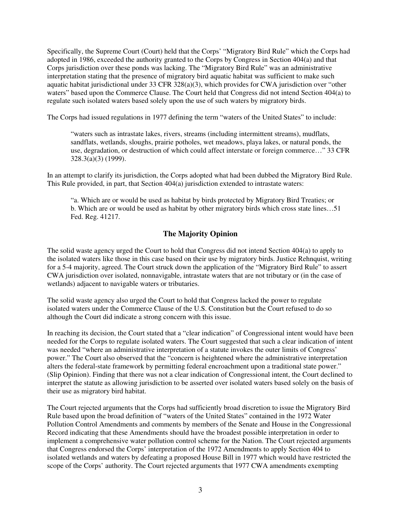Specifically, the Supreme Court (Court) held that the Corps' "Migratory Bird Rule" which the Corps had adopted in 1986, exceeded the authority granted to the Corps by Congress in Section 404(a) and that Corps jurisdiction over these ponds was lacking. The "Migratory Bird Rule" was an administrative interpretation stating that the presence of migratory bird aquatic habitat was sufficient to make such aquatic habitat jurisdictional under 33 CFR 328(a)(3), which provides for CWA jurisdiction over "other waters" based upon the Commerce Clause. The Court held that Congress did not intend Section 404(a) to regulate such isolated waters based solely upon the use of such waters by migratory birds.

The Corps had issued regulations in 1977 defining the term "waters of the United States" to include:

"waters such as intrastate lakes, rivers, streams (including intermittent streams), mudflats, sandflats, wetlands, sloughs, prairie potholes, wet meadows, playa lakes, or natural ponds, the use, degradation, or destruction of which could affect interstate or foreign commerce…" 33 CFR 328.3(a)(3) (1999).

In an attempt to clarify its jurisdiction, the Corps adopted what had been dubbed the Migratory Bird Rule. This Rule provided, in part, that Section 404(a) jurisdiction extended to intrastate waters:

"a. Which are or would be used as habitat by birds protected by Migratory Bird Treaties; or b. Which are or would be used as habitat by other migratory birds which cross state lines…51 Fed. Reg. 41217.

# **The Majority Opinion**

The solid waste agency urged the Court to hold that Congress did not intend Section 404(a) to apply to the isolated waters like those in this case based on their use by migratory birds. Justice Rehnquist, writing for a 5-4 majority, agreed. The Court struck down the application of the "Migratory Bird Rule" to assert CWA jurisdiction over isolated, nonnavigable, intrastate waters that are not tributary or (in the case of wetlands) adjacent to navigable waters or tributaries.

The solid waste agency also urged the Court to hold that Congress lacked the power to regulate isolated waters under the Commerce Clause of the U.S. Constitution but the Court refused to do so although the Court did indicate a strong concern with this issue.

In reaching its decision, the Court stated that a "clear indication" of Congressional intent would have been needed for the Corps to regulate isolated waters. The Court suggested that such a clear indication of intent was needed "where an administrative interpretation of a statute invokes the outer limits of Congress' power." The Court also observed that the "concern is heightened where the administrative interpretation alters the federal-state framework by permitting federal encroachment upon a traditional state power." (Slip Opinion). Finding that there was not a clear indication of Congressional intent, the Court declined to interpret the statute as allowing jurisdiction to be asserted over isolated waters based solely on the basis of their use as migratory bird habitat.

The Court rejected arguments that the Corps had sufficiently broad discretion to issue the Migratory Bird Rule based upon the broad definition of "waters of the United States" contained in the 1972 Water Pollution Control Amendments and comments by members of the Senate and House in the Congressional Record indicating that these Amendments should have the broadest possible interpretation in order to implement a comprehensive water pollution control scheme for the Nation. The Court rejected arguments that Congress endorsed the Corps' interpretation of the 1972 Amendments to apply Section 404 to isolated wetlands and waters by defeating a proposed House Bill in 1977 which would have restricted the scope of the Corps' authority. The Court rejected arguments that 1977 CWA amendments exempting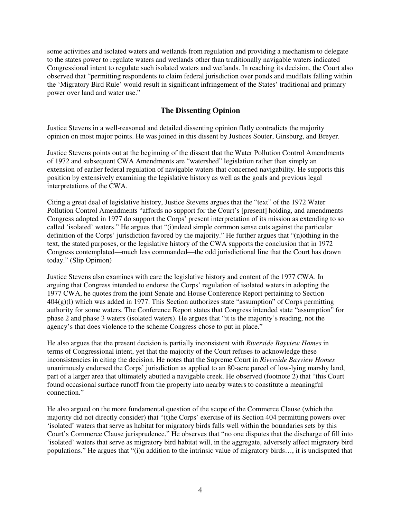some activities and isolated waters and wetlands from regulation and providing a mechanism to delegate to the states power to regulate waters and wetlands other than traditionally navigable waters indicated Congressional intent to regulate such isolated waters and wetlands. In reaching its decision, the Court also observed that "permitting respondents to claim federal jurisdiction over ponds and mudflats falling within the 'Migratory Bird Rule' would result in significant infringement of the States' traditional and primary power over land and water use."

### **The Dissenting Opinion**

Justice Stevens in a well-reasoned and detailed dissenting opinion flatly contradicts the majority opinion on most major points. He was joined in this dissent by Justices Souter, Ginsburg, and Breyer.

Justice Stevens points out at the beginning of the dissent that the Water Pollution Control Amendments of 1972 and subsequent CWA Amendments are "watershed" legislation rather than simply an extension of earlier federal regulation of navigable waters that concerned navigability. He supports this position by extensively examining the legislative history as well as the goals and previous legal interpretations of the CWA.

Citing a great deal of legislative history, Justice Stevens argues that the "text" of the 1972 Water Pollution Control Amendments "affords no support for the Court's [present] holding, and amendments Congress adopted in 1977 do support the Corps' present interpretation of its mission as extending to so called 'isolated' waters." He argues that "(i)ndeed simple common sense cuts against the particular definition of the Corps' jurisdiction favored by the majority." He further argues that "(n)othing in the text, the stated purposes, or the legislative history of the CWA supports the conclusion that in 1972 Congress contemplated—much less commanded—the odd jurisdictional line that the Court has drawn today." (Slip Opinion)

Justice Stevens also examines with care the legislative history and content of the 1977 CWA. In arguing that Congress intended to endorse the Corps' regulation of isolated waters in adopting the 1977 CWA, he quotes from the joint Senate and House Conference Report pertaining to Section  $404(g)(1)$  which was added in 1977. This Section authorizes state "assumption" of Corps permitting authority for some waters. The Conference Report states that Congress intended state "assumption" for phase 2 and phase 3 waters (isolated waters). He argues that "it is the majority's reading, not the agency's that does violence to the scheme Congress chose to put in place."

He also argues that the present decision is partially inconsistent with *Riverside Bayview Homes* in terms of Congressional intent, yet that the majority of the Court refuses to acknowledge these inconsistencies in citing the decision. He notes that the Supreme Court in *Riverside Bayview Homes*  unanimously endorsed the Corps' jurisdiction as applied to an 80-acre parcel of low-lying marshy land, part of a larger area that ultimately abutted a navigable creek. He observed (footnote 2) that "this Court found occasional surface runoff from the property into nearby waters to constitute a meaningful connection."

He also argued on the more fundamental question of the scope of the Commerce Clause (which the majority did not directly consider) that "(t)he Corps' exercise of its Section 404 permitting powers over 'isolated' waters that serve as habitat for migratory birds falls well within the boundaries sets by this Court's Commerce Clause jurisprudence." He observes that "no one disputes that the discharge of fill into 'isolated' waters that serve as migratory bird habitat will, in the aggregate, adversely affect migratory bird populations." He argues that "(i)n addition to the intrinsic value of migratory birds…, it is undisputed that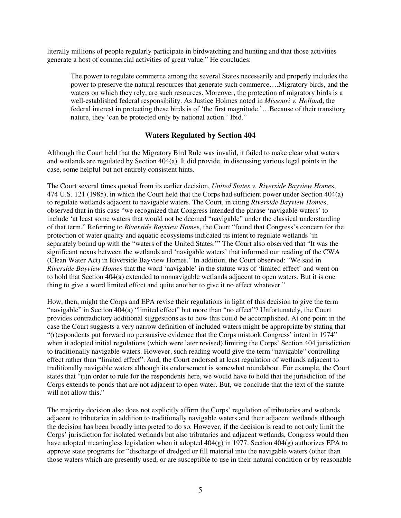literally millions of people regularly participate in birdwatching and hunting and that those activities generate a host of commercial activities of great value." He concludes:

The power to regulate commerce among the several States necessarily and properly includes the power to preserve the natural resources that generate such commerce….Migratory birds, and the waters on which they rely, are such resources. Moreover, the protection of migratory birds is a well-established federal responsibility. As Justice Holmes noted in *Missouri v. Hollan*d, the federal interest in protecting these birds is of 'the first magnitude.'…Because of their transitory nature, they 'can be protected only by national action.' Ibid."

### **Waters Regulated by Section 404**

Although the Court held that the Migratory Bird Rule was invalid, it failed to make clear what waters and wetlands are regulated by Section 404(a). It did provide, in discussing various legal points in the case, some helpful but not entirely consistent hints.

The Court several times quoted from its earlier decision, *United States v. Riverside Bayview Home*s, 474 U.S. 121 (1985), in which the Court held that the Corps had sufficient power under Section 404(a) to regulate wetlands adjacent to navigable waters. The Court, in citing *Riverside Bayview Home*s, observed that in this case "we recognized that Congress intended the phrase 'navigable waters' to include 'at least some waters that would not be deemed "navigable" under the classical understanding of that term." Referring to *Riverside Bayview Home*s, the Court "found that Congress's concern for the protection of water quality and aquatic ecosystems indicated its intent to regulate wetlands 'in separately bound up with the "waters of the United States.'" The Court also observed that "It was the significant nexus between the wetlands and 'navigable waters' that informed our reading of the CWA (Clean Water Act) in Riverside Bayview Homes." In addition, the Court observed: "We said in *Riverside Bayview Homes* that the word 'navigable' in the statute was of 'limited effect' and went on to hold that Section 404(a) extended to nonnavigable wetlands adjacent to open waters. But it is one thing to give a word limited effect and quite another to give it no effect whatever."

How, then, might the Corps and EPA revise their regulations in light of this decision to give the term "navigable" in Section 404(a) "limited effect" but more than "no effect"? Unfortunately, the Court provides contradictory additional suggestions as to how this could be accomplished. At one point in the case the Court suggests a very narrow definition of included waters might be appropriate by stating that "(r)espondents put forward no persuasive evidence that the Corps mistook Congress' intent in 1974" when it adopted initial regulations (which were later revised) limiting the Corps' Section 404 jurisdiction to traditionally navigable waters. However, such reading would give the term "navigable" controlling effect rather than "limited effect". And, the Court endorsed at least regulation of wetlands adjacent to traditionally navigable waters although its endorsement is somewhat roundabout. For example, the Court states that "(i)n order to rule for the respondents here, we would have to hold that the jurisdiction of the Corps extends to ponds that are not adjacent to open water. But, we conclude that the text of the statute will not allow this."

The majority decision also does not explicitly affirm the Corps' regulation of tributaries and wetlands adjacent to tributaries in addition to traditionally navigable waters and their adjacent wetlands although the decision has been broadly interpreted to do so. However, if the decision is read to not only limit the Corps' jurisdiction for isolated wetlands but also tributaries and adjacent wetlands, Congress would then have adopted meaningless legislation when it adopted 404(g) in 1977. Section 404(g) authorizes EPA to approve state programs for "discharge of dredged or fill material into the navigable waters (other than those waters which are presently used, or are susceptible to use in their natural condition or by reasonable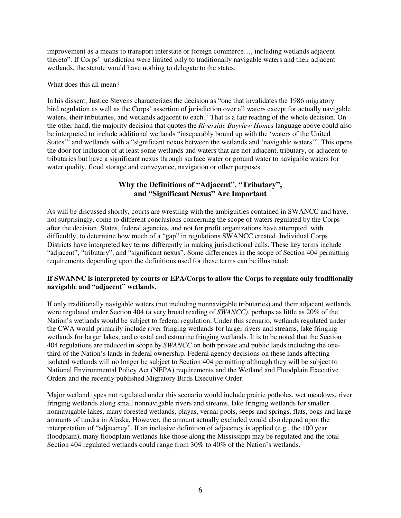improvement as a means to transport interstate or foreign commerce…, including wetlands adjacent thereto". If Corps' jurisdiction were limited only to traditionally navigable waters and their adjacent wetlands, the statute would have nothing to delegate to the states.

What does this all mean?

In his dissent, Justice Stevens characterizes the decision as "one that invalidates the 1986 migratory bird regulation as well as the Corps' assertion of jurisdiction over all waters except for actually navigable waters, their tributaries, and wetlands adjacent to each." That is a fair reading of the whole decision. On the other hand, the majority decision that quotes the *Riverside Bayview Homes* language above could also be interpreted to include additional wetlands "inseparably bound up with the 'waters of the United States'" and wetlands with a "significant nexus between the wetlands and 'navigable waters'". This opens the door for inclusion of at least some wetlands and waters that are not adjacent, tributary, or adjacent to tributaries but have a significant nexus through surface water or ground water to navigable waters for water quality, flood storage and conveyance, navigation or other purposes.

# **Why the Definitions of "Adjacent", "Tributary", and "Significant Nexus" Are Important**

As will be discussed shortly, courts are wrestling with the ambiguities contained in SWANCC and have, not surprisingly, come to different conclusions concerning the scope of waters regulated by the Corps after the decision. States, federal agencies, and not for profit organizations have attempted, with difficultly, to determine how much of a "gap" in regulations SWANCC created. Individual Corps Districts have interpreted key terms differently in making jurisdictional calls. These key terms include "adjacent", "tributary", and "significant nexus". Some differences in the scope of Section 404 permitting requirements depending upon the definitions used for these terms can be illustrated:

### **If SWANNC is interpreted by courts or EPA/Corps to allow the Corps to regulate only traditionally navigable and "adjacent" wetlands.**

If only traditionally navigable waters (not including nonnavigable tributaries) and their adjacent wetlands were regulated under Section 404 (a very broad reading of *SWANCC)*, perhaps as little as 20% of the Nation's wetlands would be subject to federal regulation. Under this scenario, wetlands regulated under the CWA would primarily include river fringing wetlands for larger rivers and streams, lake fringing wetlands for larger lakes, and coastal and estuarine fringing wetlands. It is to be noted that the Section 404 regulations are reduced in scope by *SWANCC* on both private and public lands including the onethird of the Nation's lands in federal ownership. Federal agency decisions on these lands affecting isolated wetlands will no longer be subject to Section 404 permitting although they will be subject to National Environmental Policy Act (NEPA) requirements and the Wetland and Floodplain Executive Orders and the recently published Migratory Birds Executive Order.

Major wetland types not regulated under this scenario would include prairie potholes, wet meadows, river fringing wetlands along small nonnavigable rivers and streams, lake fringing wetlands for smaller nonnavigable lakes, many forested wetlands, playas, vernal pools, seeps and springs, flats, bogs and large amounts of tundra in Alaska. However, the amount actually excluded would also depend upon the interpretation of "adjacency". If an inclusive definition of adjacency is applied (e.g., the 100 year floodplain), many floodplain wetlands like those along the Mississippi may be regulated and the total Section 404 regulated wetlands could range from 30% to 40% of the Nation's wetlands.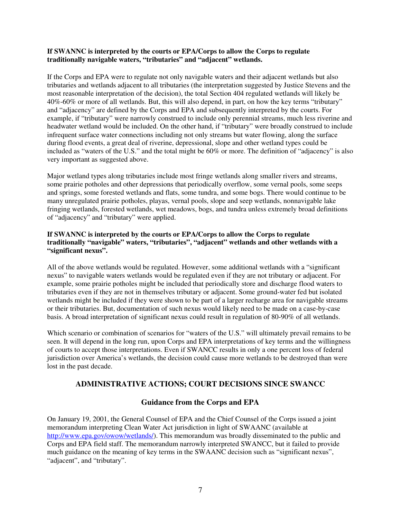#### **If SWANNC is interpreted by the courts or EPA/Corps to allow the Corps to regulate traditionally navigable waters, "tributaries" and "adjacent" wetlands.**

If the Corps and EPA were to regulate not only navigable waters and their adjacent wetlands but also tributaries and wetlands adjacent to all tributaries (the interpretation suggested by Justice Stevens and the most reasonable interpretation of the decision), the total Section 404 regulated wetlands will likely be 40%-60% or more of all wetlands. But, this will also depend, in part, on how the key terms "tributary" and "adjacency" are defined by the Corps and EPA and subsequently interpreted by the courts. For example, if "tributary" were narrowly construed to include only perennial streams, much less riverine and headwater wetland would be included. On the other hand, if "tributary" were broadly construed to include infrequent surface water connections including not only streams but water flowing, along the surface during flood events, a great deal of riverine, depressional, slope and other wetland types could be included as "waters of the U.S." and the total might be 60% or more. The definition of "adjacency" is also very important as suggested above.

Major wetland types along tributaries include most fringe wetlands along smaller rivers and streams, some prairie potholes and other depressions that periodically overflow, some vernal pools, some seeps and springs, some forested wetlands and flats, some tundra, and some bogs. There would continue to be many unregulated prairie potholes, playas, vernal pools, slope and seep wetlands, nonnavigable lake fringing wetlands, forested wetlands, wet meadows, bogs, and tundra unless extremely broad definitions of "adjacency" and "tributary" were applied.

### **If SWANNC is interpreted by the courts or EPA/Corps to allow the Corps to regulate traditionally "navigable" waters, "tributaries", "adjacent" wetlands and other wetlands with a "significant nexus".**

All of the above wetlands would be regulated. However, some additional wetlands with a "significant nexus" to navigable waters wetlands would be regulated even if they are not tributary or adjacent. For example, some prairie potholes might be included that periodically store and discharge flood waters to tributaries even if they are not in themselves tributary or adjacent. Some ground-water fed but isolated wetlands might be included if they were shown to be part of a larger recharge area for navigable streams or their tributaries. But, documentation of such nexus would likely need to be made on a case-by-case basis. A broad interpretation of significant nexus could result in regulation of 80-90% of all wetlands.

Which scenario or combination of scenarios for "waters of the U.S." will ultimately prevail remains to be seen. It will depend in the long run, upon Corps and EPA interpretations of key terms and the willingness of courts to accept those interpretations. Even if SWANCC results in only a one percent loss of federal jurisdiction over America's wetlands, the decision could cause more wetlands to be destroyed than were lost in the past decade.

### **ADMINISTRATIVE ACTIONS; COURT DECISIONS SINCE SWANCC**

### **Guidance from the Corps and EPA**

On January 19, 2001, the General Counsel of EPA and the Chief Counsel of the Corps issued a joint memorandum interpreting Clean Water Act jurisdiction in light of SWAANC (available at [http://www.epa.gov/owow/wetlands](http://www.epa.gov/owow/wetlands/)/). This memorandum was broadly disseminated to the public and Corps and EPA field staff. The memorandum narrowly interpreted SWANCC, but it failed to provide much guidance on the meaning of key terms in the SWAANC decision such as "significant nexus", "adjacent", and "tributary".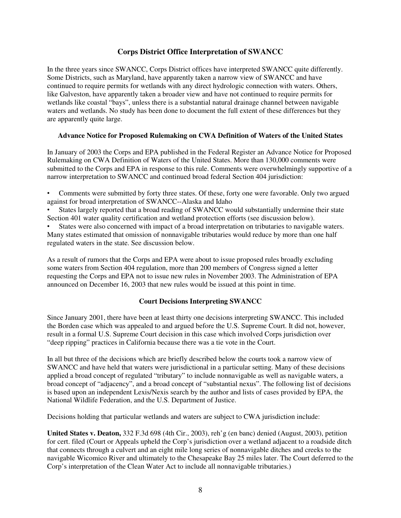# **Corps District Office Interpretation of SWANCC**

In the three years since SWANCC, Corps District offices have interpreted SWANCC quite differently. Some Districts, such as Maryland, have apparently taken a narrow view of SWANCC and have continued to require permits for wetlands with any direct hydrologic connection with waters. Others, like Galveston, have apparently taken a broader view and have not continued to require permits for wetlands like coastal "bays", unless there is a substantial natural drainage channel between navigable waters and wetlands. No study has been done to document the full extent of these differences but they are apparently quite large.

### **Advance Notice for Proposed Rulemaking on CWA Definition of Waters of the United States**

In January of 2003 the Corps and EPA published in the Federal Register an Advance Notice for Proposed Rulemaking on CWA Definition of Waters of the United States. More than 130,000 comments were submitted to the Corps and EPA in response to this rule. Comments were overwhelmingly supportive of a narrow interpretation to SWANCC and continued broad federal Section 404 jurisdiction:

• Comments were submitted by forty three states. Of these, forty one were favorable. Only two argued against for broad interpretation of SWANCC--Alaska and Idaho

States largely reported that a broad reading of SWANCC would substantially undermine their state Section 401 water quality certification and wetland protection efforts (see discussion below).

States were also concerned with impact of a broad interpretation on tributaries to navigable waters. Many states estimated that omission of nonnavigable tributaries would reduce by more than one half regulated waters in the state. See discussion below.

As a result of rumors that the Corps and EPA were about to issue proposed rules broadly excluding some waters from Section 404 regulation, more than 200 members of Congress signed a letter requesting the Corps and EPA not to issue new rules in November 2003. The Administration of EPA announced on December 16, 2003 that new rules would be issued at this point in time.

#### **Court Decisions Interpreting SWANCC**

Since January 2001, there have been at least thirty one decisions interpreting SWANCC. This included the Borden case which was appealed to and argued before the U.S. Supreme Court. It did not, however, result in a formal U.S. Supreme Court decision in this case which involved Corps jurisdiction over "deep ripping" practices in California because there was a tie vote in the Court.

In all but three of the decisions which are briefly described below the courts took a narrow view of SWANCC and have held that waters were jurisdictional in a particular setting. Many of these decisions applied a broad concept of regulated "tributary" to include nonnavigable as well as navigable waters, a broad concept of "adjacency", and a broad concept of "substantial nexus". The following list of decisions is based upon an independent Lexis/Nexis search by the author and lists of cases provided by EPA, the National Wildlife Federation, and the U.S. Department of Justice.

Decisions holding that particular wetlands and waters are subject to CWA jurisdiction include:

**United States v. Deaton,** 332 F.3d 698 (4th Cir., 2003), reh'g (en banc) denied (August, 2003), petition for cert. filed (Court or Appeals upheld the Corp's jurisdiction over a wetland adjacent to a roadside ditch that connects through a culvert and an eight mile long series of nonnavigable ditches and creeks to the navigable Wicomico River and ultimately to the Chesapeake Bay 25 miles later. The Court deferred to the Corp's interpretation of the Clean Water Act to include all nonnavigable tributaries.)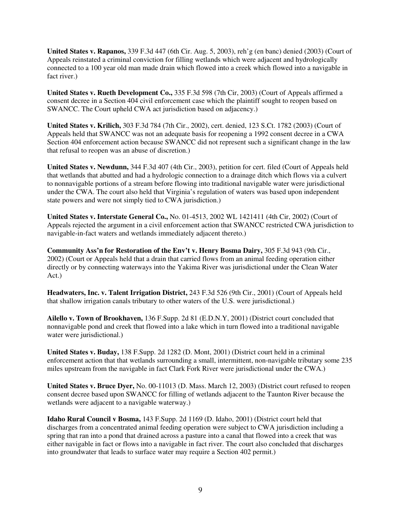**United States v. Rapanos,** 339 F.3d 447 (6th Cir. Aug. 5, 2003), reh'g (en banc) denied (2003) (Court of Appeals reinstated a criminal conviction for filling wetlands which were adjacent and hydrologically connected to a 100 year old man made drain which flowed into a creek which flowed into a navigable in fact river.)

**United States v. Rueth Development Co.,** 335 F.3d 598 (7th Cir, 2003) (Court of Appeals affirmed a consent decree in a Section 404 civil enforcement case which the plaintiff sought to reopen based on SWANCC. The Court upheld CWA act jurisdiction based on adjacency.)

**United States v. Krilich,** 303 F.3d 784 (7th Cir., 2002), cert. denied, 123 S.Ct. 1782 (2003) (Court of Appeals held that SWANCC was not an adequate basis for reopening a 1992 consent decree in a CWA Section 404 enforcement action because SWANCC did not represent such a significant change in the law that refusal to reopen was an abuse of discretion.)

**United States v. Newdunn,** 344 F.3d 407 (4th Cir., 2003), petition for cert. filed (Court of Appeals held that wetlands that abutted and had a hydrologic connection to a drainage ditch which flows via a culvert to nonnavigable portions of a stream before flowing into traditional navigable water were jurisdictional under the CWA. The court also held that Virginia's regulation of waters was based upon independent state powers and were not simply tied to CWA jurisdiction.)

**United States v. Interstate General Co.,** No. 01-4513, 2002 WL 1421411 (4th Cir, 2002) (Court of Appeals rejected the argument in a civil enforcement action that SWANCC restricted CWA jurisdiction to navigable-in-fact waters and wetlands immediately adjacent thereto.)

**Community Ass'n for Restoration of the Env't v. Henry Bosma Dairy,** 305 F.3d 943 (9th Cir., 2002) (Court or Appeals held that a drain that carried flows from an animal feeding operation either directly or by connecting waterways into the Yakima River was jurisdictional under the Clean Water Act.)

**Headwaters, Inc. v. Talent Irrigation District,** 243 F.3d 526 (9th Cir., 2001) (Court of Appeals held that shallow irrigation canals tributary to other waters of the U.S. were jurisdictional.)

**Ailello v. Town of Brookhaven,** 136 F.Supp. 2d 81 (E.D.N.Y, 2001) (District court concluded that nonnavigable pond and creek that flowed into a lake which in turn flowed into a traditional navigable water were jurisdictional.)

**United States v. Buday,** 138 F.Supp. 2d 1282 (D. Mont, 2001) (District court held in a criminal enforcement action that that wetlands surrounding a small, intermittent, non-navigable tributary some 235 miles upstream from the navigable in fact Clark Fork River were jurisdictional under the CWA.)

**United States v. Bruce Dyer,** No. 00-11013 (D. Mass. March 12, 2003) (District court refused to reopen consent decree based upon SWANCC for filling of wetlands adjacent to the Taunton River because the wetlands were adjacent to a navigable waterway.)

**Idaho Rural Council v Bosma,** 143 F.Supp. 2d 1169 (D. Idaho, 2001) (District court held that discharges from a concentrated animal feeding operation were subject to CWA jurisdiction including a spring that ran into a pond that drained across a pasture into a canal that flowed into a creek that was either navigable in fact or flows into a navigable in fact river. The court also concluded that discharges into groundwater that leads to surface water may require a Section 402 permit.)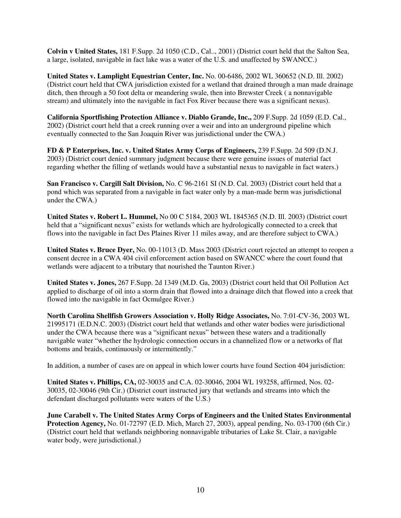**Colvin v United States,** 181 F.Supp. 2d 1050 (C.D., Cal.., 2001) (District court held that the Salton Sea, a large, isolated, navigable in fact lake was a water of the U.S. and unaffected by SWANCC.)

**United States v. Lamplight Equestrian Center, Inc.** No. 00-6486, 2002 WL 360652 (N.D. Ill. 2002) (District court held that CWA jurisdiction existed for a wetland that drained through a man made drainage ditch, then through a 50 foot delta or meandering swale, then into Brewster Creek ( a nonnavigable stream) and ultimately into the navigable in fact Fox River because there was a significant nexus).

**California Sportfishing Protection Alliance v. Diablo Grande, Inc.,** 209 F.Supp. 2d 1059 (E.D. Cal., 2002) (District court held that a creek running over a weir and into an underground pipeline which eventually connected to the San Joaquin River was jurisdictional under the CWA.)

**FD & P Enterprises, Inc. v. United States Army Corps of Engineers,** 239 F.Supp. 2d 509 (D.N.J. 2003) (District court denied summary judgment because there were genuine issues of material fact regarding whether the filling of wetlands would have a substantial nexus to navigable in fact waters.)

**San Francisco v. Cargill Salt Division,** No. C 96-2161 SI (N.D. Cal. 2003) (District court held that a pond which was separated from a navigable in fact water only by a man-made berm was jurisdictional under the CWA.)

**United States v. Robert L. Hummel,** No 00 C 5184, 2003 WL 1845365 (N.D. Ill. 2003) (District court held that a "significant nexus" exists for wetlands which are hydrologically connected to a creek that flows into the navigable in fact Des Plaines River 11 miles away, and are therefore subject to CWA.)

**United States v. Bruce Dyer,** No. 00-11013 (D. Mass 2003 (District court rejected an attempt to reopen a consent decree in a CWA 404 civil enforcement action based on SWANCC where the court found that wetlands were adjacent to a tributary that nourished the Taunton River.)

**United States v. Jones,** 267 F.Supp. 2d 1349 (M.D. Ga, 2003) (District court held that Oil Pollution Act applied to discharge of oil into a storm drain that flowed into a drainage ditch that flowed into a creek that flowed into the navigable in fact Ocmulgee River.)

**North Carolina Shellfish Growers Association v. Holly Ridge Associates,** No. 7:01-CV-36, 2003 WL 21995171 (E.D.N.C. 2003) (District court held that wetlands and other water bodies were jurisdictional under the CWA because there was a "significant nexus" between these waters and a traditionally navigable water "whether the hydrologic connection occurs in a channelized flow or a networks of flat bottoms and braids, continuously or intermittently."

In addition, a number of cases are on appeal in which lower courts have found Section 404 jurisdiction:

**United States v. Phillips, CA,** 02-30035 and C.A. 02-30046, 2004 WL 193258, affirmed, Nos. 02- 30035, 02-30046 (9th Cir.) (District court instructed jury that wetlands and streams into which the defendant discharged pollutants were waters of the U.S.)

**June Carabell v. The United States Army Corps of Engineers and the United States Environmental Protection Agency,** No. 01-72797 (E.D. Mich, March 27, 2003), appeal pending, No. 03-1700 (6th Cir.) (District court held that wetlands neighboring nonnavigable tributaries of Lake St. Clair, a navigable water body, were jurisdictional.)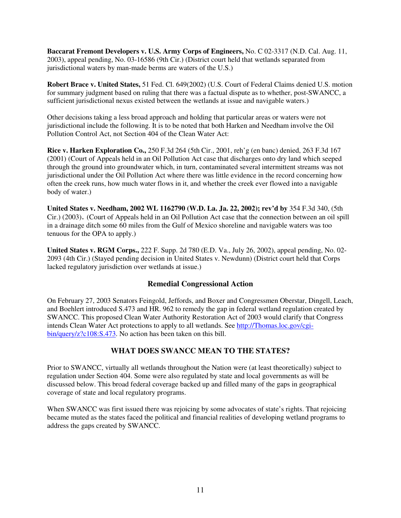**Baccarat Fremont Developers v. U.S. Army Corps of Engineers,** No. C 02-3317 (N.D. Cal. Aug. 11, 2003), appeal pending, No. 03-16586 (9th Cir.) (District court held that wetlands separated from jurisdictional waters by man-made berms are waters of the U.S.)

**Robert Brace v. United States,** 51 Fed. Cl. 649(2002) (U.S. Court of Federal Claims denied U.S. motion for summary judgment based on ruling that there was a factual dispute as to whether, post-SWANCC, a sufficient jurisdictional nexus existed between the wetlands at issue and navigable waters.)

Other decisions taking a less broad approach and holding that particular areas or waters were not jurisdictional include the following. It is to be noted that both Harken and Needham involve the Oil Pollution Control Act, not Section 404 of the Clean Water Act:

**Rice v. Harken Exploration Co.,** 250 F.3d 264 (5th Cir., 2001, reh'g (en banc) denied, 263 F.3d 167 (2001) (Court of Appeals held in an Oil Pollution Act case that discharges onto dry land which seeped through the ground into groundwater which, in turn, contaminated several intermittent streams was not jurisdictional under the Oil Pollution Act where there was little evidence in the record concerning how often the creek runs, how much water flows in it, and whether the creek ever flowed into a navigable body of water.)

**United States v. Needham, 2002 WL 1162790 (W.D. La. Ja. 22, 2002); rev'd by** 354 F.3d 340, (5th Cir.) (2003). (Court of Appeals held in an Oil Pollution Act case that the connection between an oil spill in a drainage ditch some 60 miles from the Gulf of Mexico shoreline and navigable waters was too tenuous for the OPA to apply.)

**United States v. RGM Corps.,** 222 F. Supp. 2d 780 (E.D. Va., July 26, 2002), appeal pending, No. 02- 2093 (4th Cir.) (Stayed pending decision in United States v. Newdunn) (District court held that Corps lacked regulatory jurisdiction over wetlands at issue.)

# **Remedial Congressional Action**

On February 27, 2003 Senators Feingold, Jeffords, and Boxer and Congressmen Oberstar, Dingell, Leach, and Boehlert introduced S.473 and HR. 962 to remedy the gap in federal wetland regulation created by SWANCC. This proposed Clean Water Authority Restoration Act of 2003 would clarify that Congress [intends Clean Water Act protections to apply to all wetlands. See http://Thomas.loc.gov/cgi](http://Thomas.loc.gov/cgi-bin/)bin/query/z?c108:S.473. No action has been taken on this bill.

# **WHAT DOES SWANCC MEAN TO THE STATES?**

Prior to SWANCC, virtually all wetlands throughout the Nation were (at least theoretically) subject to regulation under Section 404. Some were also regulated by state and local governments as will be discussed below. This broad federal coverage backed up and filled many of the gaps in geographical coverage of state and local regulatory programs.

When SWANCC was first issued there was rejoicing by some advocates of state's rights. That rejoicing became muted as the states faced the political and financial realities of developing wetland programs to address the gaps created by SWANCC.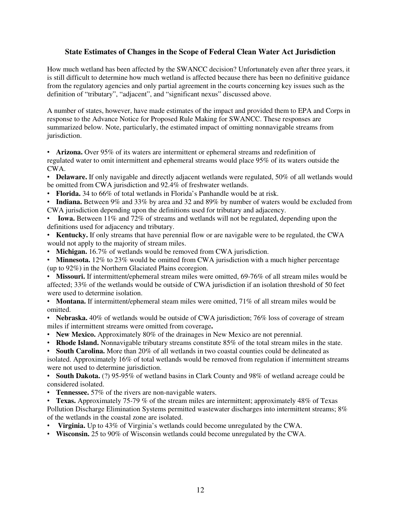## **State Estimates of Changes in the Scope of Federal Clean Water Act Jurisdiction**

How much wetland has been affected by the SWANCC decision? Unfortunately even after three years, it is still difficult to determine how much wetland is affected because there has been no definitive guidance from the regulatory agencies and only partial agreement in the courts concerning key issues such as the definition of "tributary", "adjacent", and "significant nexus" discussed above.

A number of states, however, have made estimates of the impact and provided them to EPA and Corps in response to the Advance Notice for Proposed Rule Making for SWANCC. These responses are summarized below. Note, particularly, the estimated impact of omitting nonnavigable streams from jurisdiction.

• **Arizona.** Over 95% of its waters are intermittent or ephemeral streams and redefinition of regulated water to omit intermittent and ephemeral streams would place 95% of its waters outside the CWA.

• **Delaware.** If only navigable and directly adjacent wetlands were regulated, 50% of all wetlands would be omitted from CWA jurisdiction and 92.4% of freshwater wetlands.

- **Florida.** 34 to 66% of total wetlands in Florida's Panhandle would be at risk.
- **Indiana.** Between 9% and 33% by area and 32 and 89% by number of waters would be excluded from CWA jurisdiction depending upon the definitions used for tributary and adjacency.
- **Iowa.** Between 11% and 72% of streams and wetlands will not be regulated, depending upon the definitions used for adjacency and tributary.

• **Kentucky.** If only streams that have perennial flow or are navigable were to be regulated, the CWA would not apply to the majority of stream miles.

• **Michigan.** 16.7% of wetlands would be removed from CWA jurisdiction.

• **Minnesota.** 12% to 23% would be omitted from CWA jurisdiction with a much higher percentage (up to 92%) in the Northern Glaciated Plains ecoregion.

• **Missouri.** If intermittent/ephemeral stream miles were omitted, 69-76% of all stream miles would be affected; 33% of the wetlands would be outside of CWA jurisdiction if an isolation threshold of 50 feet were used to determine isolation.

• **Montana.** If intermittent/ephemeral steam miles were omitted, 71% of all stream miles would be omitted.

• **Nebraska.** 40% of wetlands would be outside of CWA jurisdiction; 76% loss of coverage of stream miles if intermittent streams were omitted from coverage**.**

- **New Mexico.** Approximately 80% of the drainages in New Mexico are not perennial.
- **Rhode Island.** Nonnavigable tributary streams constitute 85% of the total stream miles in the state.

• **South Carolina.** More than 20% of all wetlands in two coastal counties could be delineated as isolated. Approximately 16% of total wetlands would be removed from regulation if intermittent streams were not used to determine jurisdiction.

• **South Dakota.** (?) 95-95% of wetland basins in Clark County and 98% of wetland acreage could be considered isolated.

- **Tennessee.** 57% of the rivers are non-navigable waters.
- **Texas.** Approximately 75-79 % of the stream miles are intermittent; approximately 48% of Texas Pollution Discharge Elimination Systems permitted wastewater discharges into intermittent streams; 8% of the wetlands in the coastal zone are isolated.
- **Virginia.** Up to 43% of Virginia's wetlands could become unregulated by the CWA.
- **Wisconsin.** 25 to 90% of Wisconsin wetlands could become unregulated by the CWA.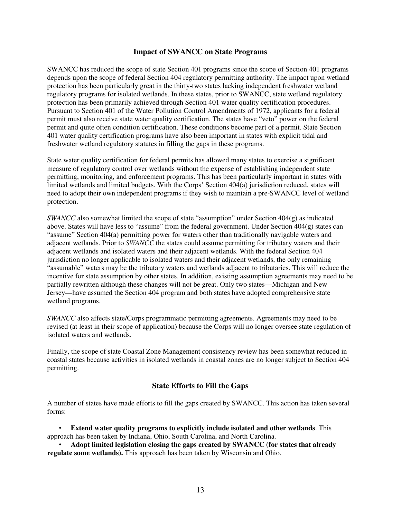#### **Impact of SWANCC on State Programs**

SWANCC has reduced the scope of state Section 401 programs since the scope of Section 401 programs depends upon the scope of federal Section 404 regulatory permitting authority. The impact upon wetland protection has been particularly great in the thirty-two states lacking independent freshwater wetland regulatory programs for isolated wetlands. In these states, prior to SWANCC, state wetland regulatory protection has been primarily achieved through Section 401 water quality certification procedures. Pursuant to Section 401 of the Water Pollution Control Amendments of 1972, applicants for a federal permit must also receive state water quality certification. The states have "veto" power on the federal permit and quite often condition certification. These conditions become part of a permit. State Section 401 water quality certification programs have also been important in states with explicit tidal and freshwater wetland regulatory statutes in filling the gaps in these programs.

State water quality certification for federal permits has allowed many states to exercise a significant measure of regulatory control over wetlands without the expense of establishing independent state permitting, monitoring, and enforcement programs. This has been particularly important in states with limited wetlands and limited budgets. With the Corps' Section 404(a) jurisdiction reduced, states will need to adopt their own independent programs if they wish to maintain a pre-SWANCC level of wetland protection.

*SWANCC* also somewhat limited the scope of state "assumption" under Section  $404(g)$  as indicated above. States will have less to "assume" from the federal government. Under Section  $404(g)$  states can "assume" Section 404(a) permitting power for waters other than traditionally navigable waters and adjacent wetlands. Prior to *SWANCC* the states could assume permitting for tributary waters and their adjacent wetlands and isolated waters and their adjacent wetlands. With the federal Section 404 jurisdiction no longer applicable to isolated waters and their adjacent wetlands, the only remaining "assumable" waters may be the tributary waters and wetlands adjacent to tributaries. This will reduce the incentive for state assumption by other states. In addition, existing assumption agreements may need to be partially rewritten although these changes will not be great. Only two states—Michigan and New Jersey—have assumed the Section 404 program and both states have adopted comprehensive state wetland programs.

*SWANCC* also affects state/Corps programmatic permitting agreements. Agreements may need to be revised (at least in their scope of application) because the Corps will no longer oversee state regulation of isolated waters and wetlands.

Finally, the scope of state Coastal Zone Management consistency review has been somewhat reduced in coastal states because activities in isolated wetlands in coastal zones are no longer subject to Section 404 permitting.

### **State Efforts to Fill the Gaps**

A number of states have made efforts to fill the gaps created by SWANCC. This action has taken several forms:

• **Extend water quality programs to explicitly include isolated and other wetlands**. This approach has been taken by Indiana, Ohio, South Carolina, and North Carolina.

• **Adopt limited legislation closing the gaps created by SWANCC (for states that already regulate some wetlands).** This approach has been taken by Wisconsin and Ohio.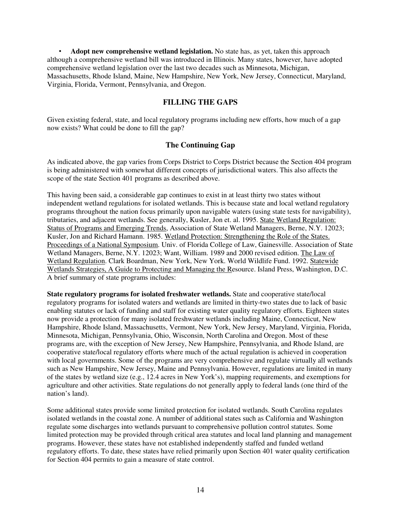• **Adopt new comprehensive wetland legislation.** No state has, as yet, taken this approach although a comprehensive wetland bill was introduced in Illinois. Many states, however, have adopted comprehensive wetland legislation over the last two decades such as Minnesota, Michigan, Massachusetts, Rhode Island, Maine, New Hampshire, New York, New Jersey, Connecticut, Maryland, Virginia, Florida, Vermont, Pennsylvania, and Oregon.

## **FILLING THE GAPS**

Given existing federal, state, and local regulatory programs including new efforts, how much of a gap now exists? What could be done to fill the gap?

# **The Continuing Gap**

As indicated above, the gap varies from Corps District to Corps District because the Section 404 program is being administered with somewhat different concepts of jurisdictional waters. This also affects the scope of the state Section 401 programs as described above.

This having been said, a considerable gap continues to exist in at least thirty two states without independent wetland regulations for isolated wetlands. This is because state and local wetland regulatory programs throughout the nation focus primarily upon navigable waters (using state tests for navigability), tributaries, and adjacent wetlands. See generally, Kusler, Jon et. al. 1995. State Wetland Regulation: Status of Programs and Emerging Trends, Association of State Wetland Managers, Berne, N.Y. 12023; Kusler, Jon and Richard Hamann. 1985. Wetland Protection: Strengthening the Role of the States. Proceedings of a National Symposium. Univ. of Florida College of Law, Gainesville. Association of State Wetland Managers, Berne, N.Y. 12023; Want, William. 1989 and 2000 revised edition. The Law of Wetland Regulation. Clark Boardman, New York, New York. World Wildlife Fund. 1992. Statewide Wetlands Strategies, A Guide to Protecting and Managing the Resource. Island Press, Washington, D.C. A brief summary of state programs includes:

**State regulatory programs for isolated freshwater wetlands.** State and cooperative state/local regulatory programs for isolated waters and wetlands are limited in thirty-two states due to lack of basic enabling statutes or lack of funding and staff for existing water quality regulatory efforts. Eighteen states now provide a protection for many isolated freshwater wetlands including Maine, Connecticut, New Hampshire, Rhode Island, Massachusetts, Vermont, New York, New Jersey, Maryland, Virginia, Florida, Minnesota, Michigan, Pennsylvania, Ohio, Wisconsin, North Carolina and Oregon. Most of these programs are, with the exception of New Jersey, New Hampshire, Pennsylvania, and Rhode Island, are cooperative state/local regulatory efforts where much of the actual regulation is achieved in cooperation with local governments. Some of the programs are very comprehensive and regulate virtually all wetlands such as New Hampshire, New Jersey, Maine and Pennsylvania. However, regulations are limited in many of the states by wetland size (e.g., 12.4 acres in New York's), mapping requirements, and exemptions for agriculture and other activities. State regulations do not generally apply to federal lands (one third of the nation's land).

Some additional states provide some limited protection for isolated wetlands. South Carolina regulates isolated wetlands in the coastal zone. A number of additional states such as California and Washington regulate some discharges into wetlands pursuant to comprehensive pollution control statutes. Some limited protection may be provided through critical area statutes and local land planning and management programs. However, these states have not established independently staffed and funded wetland regulatory efforts. To date, these states have relied primarily upon Section 401 water quality certification for Section 404 permits to gain a measure of state control.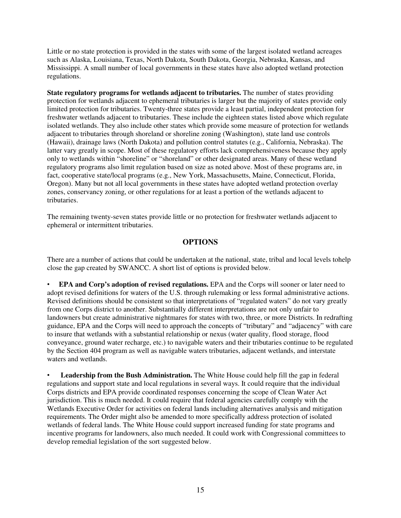Little or no state protection is provided in the states with some of the largest isolated wetland acreages such as Alaska, Louisiana, Texas, North Dakota, South Dakota, Georgia, Nebraska, Kansas, and Mississippi. A small number of local governments in these states have also adopted wetland protection regulations.

**State regulatory programs for wetlands adjacent to tributaries.** The number of states providing protection for wetlands adjacent to ephemeral tributaries is larger but the majority of states provide only limited protection for tributaries. Twenty-three states provide a least partial, independent protection for freshwater wetlands adjacent to tributaries. These include the eighteen states listed above which regulate isolated wetlands. They also include other states which provide some measure of protection for wetlands adjacent to tributaries through shoreland or shoreline zoning (Washington), state land use controls (Hawaii), drainage laws (North Dakota) and pollution control statutes (e.g., California, Nebraska). The latter vary greatly in scope. Most of these regulatory efforts lack comprehensiveness because they apply only to wetlands within "shoreline" or "shoreland" or other designated areas. Many of these wetland regulatory programs also limit regulation based on size as noted above. Most of these programs are, in fact, cooperative state/local programs (e.g., New York, Massachusetts, Maine, Connecticut, Florida, Oregon). Many but not all local governments in these states have adopted wetland protection overlay zones, conservancy zoning, or other regulations for at least a portion of the wetlands adjacent to tributaries.

The remaining twenty-seven states provide little or no protection for freshwater wetlands adjacent to ephemeral or intermittent tributaries.

#### **OPTIONS**

There are a number of actions that could be undertaken at the national, state, tribal and local levels tohelp close the gap created by SWANCC. A short list of options is provided below.

• **EPA and Corp's adoption of revised regulations.** EPA and the Corps will sooner or later need to adopt revised definitions for waters of the U.S. through rulemaking or less formal administrative actions. Revised definitions should be consistent so that interpretations of "regulated waters" do not vary greatly from one Corps district to another. Substantially different interpretations are not only unfair to landowners but create administrative nightmares for states with two, three, or more Districts. In redrafting guidance, EPA and the Corps will need to approach the concepts of "tributary" and "adjacency" with care to insure that wetlands with a substantial relationship or nexus (water quality, flood storage, flood conveyance, ground water recharge, etc.) to navigable waters and their tributaries continue to be regulated by the Section 404 program as well as navigable waters tributaries, adjacent wetlands, and interstate waters and wetlands.

• **Leadership from the Bush Administration.** The White House could help fill the gap in federal regulations and support state and local regulations in several ways. It could require that the individual Corps districts and EPA provide coordinated responses concerning the scope of Clean Water Act jurisdiction. This is much needed. It could require that federal agencies carefully comply with the Wetlands Executive Order for activities on federal lands including alternatives analysis and mitigation requirements. The Order might also be amended to more specifically address protection of isolated wetlands of federal lands. The White House could support increased funding for state programs and incentive programs for landowners, also much needed. It could work with Congressional committees to develop remedial legislation of the sort suggested below.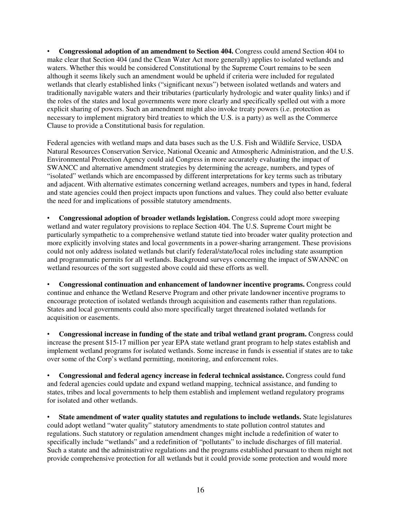• **Congressional adoption of an amendment to Section 404.** Congress could amend Section 404 to make clear that Section 404 (and the Clean Water Act more generally) applies to isolated wetlands and waters. Whether this would be considered Constitutional by the Supreme Court remains to be seen although it seems likely such an amendment would be upheld if criteria were included for regulated wetlands that clearly established links ("significant nexus") between isolated wetlands and waters and traditionally navigable waters and their tributaries (particularly hydrologic and water quality links) and if the roles of the states and local governments were more clearly and specifically spelled out with a more explicit sharing of powers. Such an amendment might also invoke treaty powers (i.e. protection as necessary to implement migratory bird treaties to which the U.S. is a party) as well as the Commerce Clause to provide a Constitutional basis for regulation.

Federal agencies with wetland maps and data bases such as the U.S. Fish and Wildlife Service, USDA Natural Resources Conservation Service, National Oceanic and Atmospheric Administration, and the U.S. Environmental Protection Agency could aid Congress in more accurately evaluating the impact of SWANCC and alternative amendment strategies by determining the acreage, numbers, and types of "isolated" wetlands which are encompassed by different interpretations for key terms such as tributary and adjacent. With alternative estimates concerning wetland acreages, numbers and types in hand, federal and state agencies could then project impacts upon functions and values. They could also better evaluate the need for and implications of possible statutory amendments.

• **Congressional adoption of broader wetlands legislation.** Congress could adopt more sweeping wetland and water regulatory provisions to replace Section 404. The U.S. Supreme Court might be particularly sympathetic to a comprehensive wetland statute tied into broader water quality protection and more explicitly involving states and local governments in a power-sharing arrangement. These provisions could not only address isolated wetlands but clarify federal/state/local roles including state assumption and programmatic permits for all wetlands. Background surveys concerning the impact of SWANNC on wetland resources of the sort suggested above could aid these efforts as well.

• **Congressional continuation and enhancement of landowner incentive programs.** Congress could continue and enhance the Wetland Reserve Program and other private landowner incentive programs to encourage protection of isolated wetlands through acquisition and easements rather than regulations. States and local governments could also more specifically target threatened isolated wetlands for acquisition or easements.

• **Congressional increase in funding of the state and tribal wetland grant program.** Congress could increase the present \$15-17 million per year EPA state wetland grant program to help states establish and implement wetland programs for isolated wetlands. Some increase in funds is essential if states are to take over some of the Corp's wetland permitting, monitoring, and enforcement roles.

• **Congressional and federal agency increase in federal technical assistance.** Congress could fund and federal agencies could update and expand wetland mapping, technical assistance, and funding to states, tribes and local governments to help them establish and implement wetland regulatory programs for isolated and other wetlands.

• **State amendment of water quality statutes and regulations to include wetlands.** State legislatures could adopt wetland "water quality" statutory amendments to state pollution control statutes and regulations. Such statutory or regulation amendment changes might include a redefinition of water to specifically include "wetlands" and a redefinition of "pollutants" to include discharges of fill material. Such a statute and the administrative regulations and the programs established pursuant to them might not provide comprehensive protection for all wetlands but it could provide some protection and would more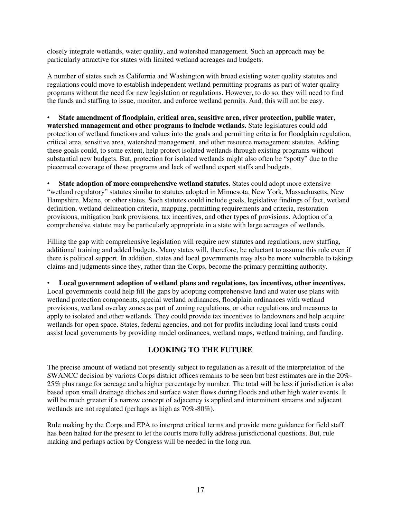closely integrate wetlands, water quality, and watershed management. Such an approach may be particularly attractive for states with limited wetland acreages and budgets.

A number of states such as California and Washington with broad existing water quality statutes and regulations could move to establish independent wetland permitting programs as part of water quality programs without the need for new legislation or regulations. However, to do so, they will need to find the funds and staffing to issue, monitor, and enforce wetland permits. And, this will not be easy.

• **State amendment of floodplain, critical area, sensitive area, river protection, public water, watershed management and other programs to include wetlands.** State legislatures could add protection of wetland functions and values into the goals and permitting criteria for floodplain regulation, critical area, sensitive area, watershed management, and other resource management statutes. Adding these goals could, to some extent, help protect isolated wetlands through existing programs without substantial new budgets. But, protection for isolated wetlands might also often be "spotty" due to the piecemeal coverage of these programs and lack of wetland expert staffs and budgets.

State adoption of more comprehensive wetland statutes. States could adopt more extensive "wetland regulatory" statutes similar to statutes adopted in Minnesota, New York, Massachusetts, New Hampshire, Maine, or other states. Such statutes could include goals, legislative findings of fact, wetland definition, wetland delineation criteria, mapping, permitting requirements and criteria, restoration provisions, mitigation bank provisions, tax incentives, and other types of provisions. Adoption of a comprehensive statute may be particularly appropriate in a state with large acreages of wetlands.

Filling the gap with comprehensive legislation will require new statutes and regulations, new staffing, additional training and added budgets. Many states will, therefore, be reluctant to assume this role even if there is political support. In addition, states and local governments may also be more vulnerable to takings claims and judgments since they, rather than the Corps, become the primary permitting authority.

• **Local government adoption of wetland plans and regulations, tax incentives, other incentives.**  Local governments could help fill the gaps by adopting comprehensive land and water use plans with wetland protection components, special wetland ordinances, floodplain ordinances with wetland provisions, wetland overlay zones as part of zoning regulations, or other regulations and measures to apply to isolated and other wetlands. They could provide tax incentives to landowners and help acquire wetlands for open space. States, federal agencies, and not for profits including local land trusts could assist local governments by providing model ordinances, wetland maps, wetland training, and funding.

# **LOOKING TO THE FUTURE**

The precise amount of wetland not presently subject to regulation as a result of the interpretation of the SWANCC decision by various Corps district offices remains to be seen but best estimates are in the 20%- 25% plus range for acreage and a higher percentage by number. The total will be less if jurisdiction is also based upon small drainage ditches and surface water flows during floods and other high water events. It will be much greater if a narrow concept of adjacency is applied and intermittent streams and adjacent wetlands are not regulated (perhaps as high as 70%-80%).

Rule making by the Corps and EPA to interpret critical terms and provide more guidance for field staff has been halted for the present to let the courts more fully address jurisdictional questions. But, rule making and perhaps action by Congress will be needed in the long run.